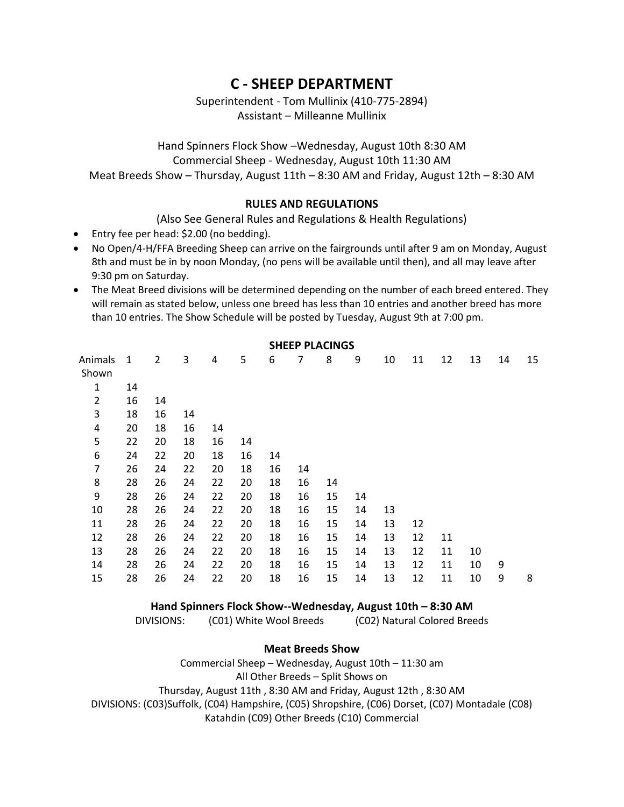# **C - SHEEP DEPARTMENT**

Superintendent - Tom Mullinix (410-775-2894) Assistant – Milleanne Mullinix

Hand Spinners Flock Show –Wednesday, August 10th 8:30 AM Commercial Sheep - Wednesday, August 10th 11:30 AM Meat Breeds Show – Thursday, August 11th – 8:30 AM and Friday, August 12th – 8:30 AM

## **RULES AND REGULATIONS**

(Also See General Rules and Regulations & Health Regulations)

- Entry fee per head: \$2.00 (no bedding).
- No Open/4-H/FFA Breeding Sheep can arrive on the fairgrounds until after 9 am on Monday, August 8th and must be in by noon Monday, (no pens will be available until then), and all may leave after 9:30 pm on Saturday.
- The Meat Breed divisions will be determined depending on the number of each breed entered. They will remain as stated below, unless one breed has less than 10 entries and another breed has more than 10 entries. The Show Schedule will be posted by Tuesday, August 9th at 7:00 pm.

| JULLE FLACINOJ   |              |                |    |    |    |    |    |    |    |    |    |    |    |    |    |
|------------------|--------------|----------------|----|----|----|----|----|----|----|----|----|----|----|----|----|
| Animals<br>Shown | $\mathbf{1}$ | $\overline{2}$ | 3  | 4  | 5  | 6  | 7  | 8  | 9  | 10 | 11 | 12 | 13 | 14 | 15 |
| $\mathbf{1}$     | 14           |                |    |    |    |    |    |    |    |    |    |    |    |    |    |
| $\overline{2}$   | 16           | 14             |    |    |    |    |    |    |    |    |    |    |    |    |    |
| 3                | 18           | 16             | 14 |    |    |    |    |    |    |    |    |    |    |    |    |
| 4                | 20           | 18             | 16 | 14 |    |    |    |    |    |    |    |    |    |    |    |
| 5                | 22           | 20             | 18 | 16 | 14 |    |    |    |    |    |    |    |    |    |    |
| 6                | 24           | 22             | 20 | 18 | 16 | 14 |    |    |    |    |    |    |    |    |    |
| 7                | 26           | 24             | 22 | 20 | 18 | 16 | 14 |    |    |    |    |    |    |    |    |
| 8                | 28           | 26             | 24 | 22 | 20 | 18 | 16 | 14 |    |    |    |    |    |    |    |
| 9                | 28           | 26             | 24 | 22 | 20 | 18 | 16 | 15 | 14 |    |    |    |    |    |    |
| 10               | 28           | 26             | 24 | 22 | 20 | 18 | 16 | 15 | 14 | 13 |    |    |    |    |    |
| 11               | 28           | 26             | 24 | 22 | 20 | 18 | 16 | 15 | 14 | 13 | 12 |    |    |    |    |
| 12               | 28           | 26             | 24 | 22 | 20 | 18 | 16 | 15 | 14 | 13 | 12 | 11 |    |    |    |
| 13               | 28           | 26             | 24 | 22 | 20 | 18 | 16 | 15 | 14 | 13 | 12 | 11 | 10 |    |    |
| 14               | 28           | 26             | 24 | 22 | 20 | 18 | 16 | 15 | 14 | 13 | 12 | 11 | 10 | 9  |    |
| 15               | 28           | 26             | 24 | 22 | 20 | 18 | 16 | 15 | 14 | 13 | 12 | 11 | 10 | 9  | 8  |

## **SHEEP PLACINGS**

### **Hand Spinners Flock Show--Wednesday, August 10th – 8:30 AM**

DIVISIONS: (C01) White Wool Breeds (C02) Natural Colored Breeds

### **Meat Breeds Show**

Commercial Sheep – Wednesday, August 10th – 11:30 am All Other Breeds – Split Shows on Thursday, August 11th , 8:30 AM and Friday, August 12th , 8:30 AM DIVISIONS: (C03)Suffolk, (C04) Hampshire, (C05) Shropshire, (C06) Dorset, (C07) Montadale (C08) Katahdin (C09) Other Breeds (C10) Commercial